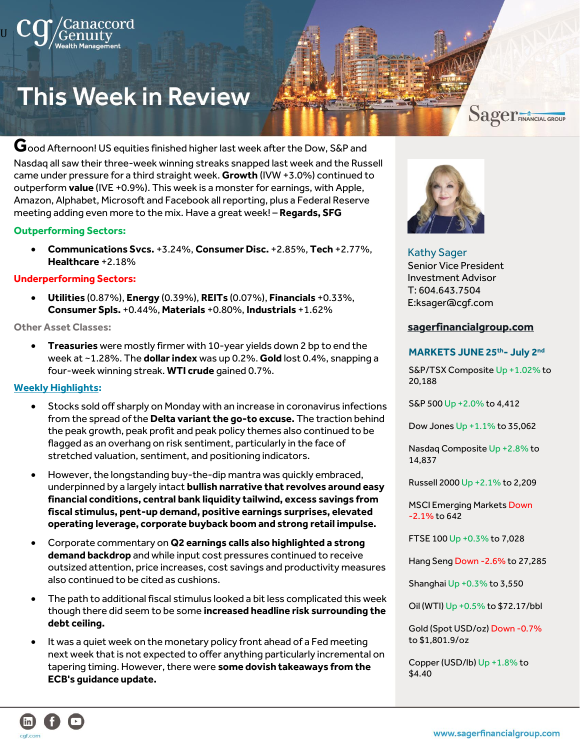# **This Week in Review**

#### **G**ood Afternoon! US equities finished higher last week after the Dow, S&P and

Nasdaq all saw their three-week winning streaks snapped last week and the Russell came under pressure for a third straight week. **Growth** (IVW +3.0%) continued to outperform **value** (IVE +0.9%). This week is a monster for earnings, with Apple, Amazon, Alphabet, Microsoft and Facebook all reporting, plus a Federal Reserve meeting adding even more to the mix. Have a great week! – **Regards, SFG**

#### **Outperforming Sectors:**

U

• **Communications Svcs.** +3.24%, **Consumer Disc.** +2.85%, **Tech** +2.77%, **Healthcare** +2.18%

#### **Underperforming Sectors:**

• **Utilities** (0.87%), **Energy** (0.39%), **REITs** (0.07%), **Financials** +0.33%, **Consumer Spls.** +0.44%, **Materials** +0.80%, **Industrials** +1.62%

#### **Other Asset Classes:**

• **Treasuries** were mostly firmer with 10-year yields down 2 bp to end the week at ~1.28%. The **dollar index** was up 0.2%. **Gold** lost 0.4%, snapping a four-week winning streak. **WTI crude** gained 0.7%.

#### **Weekly Highlights:**

- Stocks sold off sharply on Monday with an increase in coronavirus infections from the spread of the **Delta variant the go-to excuse.** The traction behind the peak growth, peak profit and peak policy themes also continued to be flagged as an overhang on risk sentiment, particularly in the face of stretched valuation, sentiment, and positioning indicators.
- However, the longstanding buy-the-dip mantra was quickly embraced, underpinned by a largely intact **bullish narrative that revolves around easy financial conditions, central bank liquidity tailwind, excess savings from fiscal stimulus, pent-up demand, positive earnings surprises, elevated operating leverage, corporate buyback boom and strong retail impulse.**
- Corporate commentary on **Q2 earnings calls also highlighted a strong demand backdrop** and while input cost pressures continued to receive outsized attention, price increases, cost savings and productivity measures also continued to be cited as cushions.
- The path to additional fiscal stimulus looked a bit less complicated this week though there did seem to be some **increased headline risk surrounding the debt ceiling.**
- It was a quiet week on the monetary policy front ahead of a Fed meeting next week that is not expected to offer anything particularly incremental on tapering timing. However, there were **some dovish takeaways from the ECB's guidance update.**



#### Kathy Sager Senior Vice President Investment Advisor T: 604.643.7504 E:ksager@cgf.com

#### **[sagerfinancialgroup.com](https://www.sagerfinancialgroup.com/)**

#### **MARKETS JUNE 25th- July 2nd**

S&P/TSX Composite Up +1.02% to 20,188

Sager FINANCIAL GROUP

S&P 500 Up +2.0% to 4,412

Dow Jones Up +1.1% to 35,062

Nasdaq Composite Up +2.8% to 14,837

Russell 2000 Up +2.1% to 2,209

MSCI Emerging Markets Down -2.1% to 642

FTSE 100 Up +0.3% to 7,028

Hang Seng Down -2.6% to 27,285

Shanghai Up +0.3% to 3,550

Oil (WTI) Up +0.5% to \$72.17/bbl

Gold (Spot USD/oz) Down -0.7% to \$1,801.9/oz

Copper (USD/lb) Up +1.8% to \$4.40

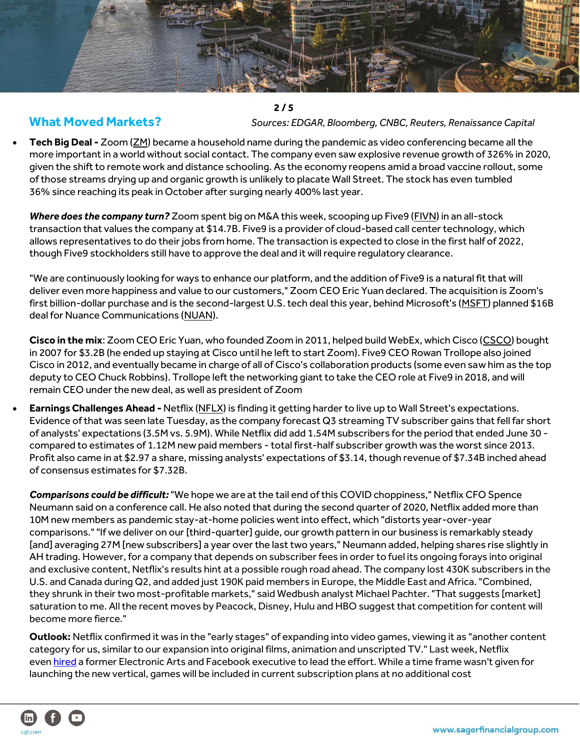

 **2 / 5 What Moved Markets?** *Sources: EDGAR, Bloomberg, CNBC, Reuters, Renaissance Capital*

• **Tech Big Deal -** Zoom [\(ZM\)](https://seekingalpha.com/symbol/ZM?mailingid=24545147&serial=24545147.1604556&userid=54600502&source=email_wsb&messageid=wall_street_breakfast&utm_source=seeking_alpha&utm_medium=email&utm_campaign=WSB_7_27_21&utm_term=wall_street_breakfast) became a household name during the pandemic as video conferencing became all the more important in a world without social contact. The company even saw explosive revenue growth of 326% in 2020, given the shift to remote work and distance schooling. As the economy reopens amid a broad vaccine rollout, some of those streams drying up and organic growth is unlikely to placate Wall Street. The stock has even tumbled 36% since reaching its peak in October after surging nearly 400% last year.

*Where does the company turn?* Zoom spent big on M&A this week, scooping up Five9 [\(FIVN\)](https://seekingalpha.com/symbol/FIVN?mailingid=24545147&serial=24545147.1604556&userid=54600502&source=email_wsb&messageid=wall_street_breakfast&utm_source=seeking_alpha&utm_medium=email&utm_campaign=WSB_7_27_21&utm_term=wall_street_breakfast) in an all-stock transaction that values the company at \$14.7B. Five9 is a provider of cloud-based call center technology, which allows representatives to do their jobs from home. The transaction is expected to close in the first half of 2022, though Five9 stockholders still have to approve the deal and it will require regulatory clearance.

"We are continuously looking for ways to enhance our platform, and the addition of Five9 is a natural fit that will deliver even more happiness and value to our customers," Zoom CEO Eric Yuan declared. The acquisition is Zoom's first billion-dollar purchase and is the second-largest U.S. tech deal this year, behind Microsoft's [\(MSFT\)](https://seekingalpha.com/symbol/MSFT?mailingid=24545147&serial=24545147.1604556&userid=54600502&source=email_wsb&messageid=wall_street_breakfast&utm_source=seeking_alpha&utm_medium=email&utm_campaign=WSB_7_27_21&utm_term=wall_street_breakfast) planned \$16B deal for Nuance Communications [\(NUAN\)](https://seekingalpha.com/symbol/NUAN?mailingid=24545147&serial=24545147.1604556&userid=54600502&source=email_wsb&messageid=wall_street_breakfast&utm_source=seeking_alpha&utm_medium=email&utm_campaign=WSB_7_27_21&utm_term=wall_street_breakfast).

**Cisco in the mix**: Zoom CEO Eric Yuan, who founded Zoom in 2011, helped build WebEx, which Cisco [\(CSCO\)](https://seekingalpha.com/symbol/CSCO?mailingid=24545147&serial=24545147.1604556&userid=54600502&source=email_wsb&messageid=wall_street_breakfast&utm_source=seeking_alpha&utm_medium=email&utm_campaign=WSB_7_27_21&utm_term=wall_street_breakfast) bought in 2007 for \$3.2B (he ended up staying at Cisco until he left to start Zoom). Five9 CEO Rowan Trollope also joined Cisco in 2012, and eventually became in charge of all of Cisco's collaboration products (some even saw him as the top deputy to CEO Chuck Robbins). Trollope left the networking giant to take the CEO role at Five9 in 2018, and will remain CEO under the new deal, as well as president of Zoom

• **Earnings Challenges Ahead -** Netflix [\(NFLX\)](https://seekingalpha.com/symbol/NFLX?mailingid=24545147&serial=24545147.1604556&userid=54600502&source=email_wsb&messageid=wall_street_breakfast&utm_source=seeking_alpha&utm_medium=email&utm_campaign=WSB_7_27_21&utm_term=wall_street_breakfast) is finding it getting harder to live up to Wall Street's expectations. Evidence of that was seen late Tuesday, as the company forecast Q3 streaming TV subscriber gains that fell far short of analysts' expectations (3.5M vs. 5.9M). While Netflix did add 1.54M subscribers for the period that ended June 30 compared to estimates of 1.12M new paid members - total first-half subscriber growth was the worst since 2013. Profit also came in at \$2.97 a share, missing analysts' expectations of \$3.14, though revenue of \$7.34B inched ahead of consensus estimates for \$7.32B.

*Comparisons could be difficult:*"We hope we are at the tail end of this COVID choppiness," Netflix CFO Spence Neumann said on a conference call. He also noted that during the second quarter of 2020, Netflix added more than 10M new members as pandemic stay-at-home policies went into effect, which "distorts year-over-year comparisons." "If we deliver on our [third-quarter] guide, our growth pattern in our business is remarkably steady [and] averaging 27M [new subscribers] a year over the last two years," Neumann added, helping shares rise slightly in AH trading. However, for a company that depends on subscriber fees in order to fuel its ongoing forays into original and exclusive content, Netflix's results hint at a possible rough road ahead. The company lost 430K subscribers in the U.S. and Canada during Q2, and added just 190K paid members in Europe, the Middle East and Africa. "Combined, they shrunk in their two most-profitable markets," said Wedbush analyst Michael Pachter. "That suggests [market] saturation to me. All the recent moves by Peacock, Disney, Hulu and HBO suggest that competition for content will become more fierce."

**Outlook:** Netflix confirmed it was in the "early stages" of expanding into video games, viewing it as "another content category for us, similar to our expansion into original films, animation and unscripted TV." Last week, Netflix even [hired](https://seekingalpha.com/news/3715366-to-where-does-netflix-turn-to-reignite-growth-gaming?source=content_type:react%7Csection:main_content%7Cbutton:body_link&mailingid=24545147&serial=24545147.1604556&userid=54600502&messageid=wall_street_breakfast&utm_source=seeking_alpha&utm_medium=email&utm_campaign=WSB_7_27_21&utm_term=wall_street_breakfast) a former Electronic Arts and Facebook executive to lead the effort. While a time frame wasn't given for launching the new vertical, games will be included in current subscription plans at no additional cost

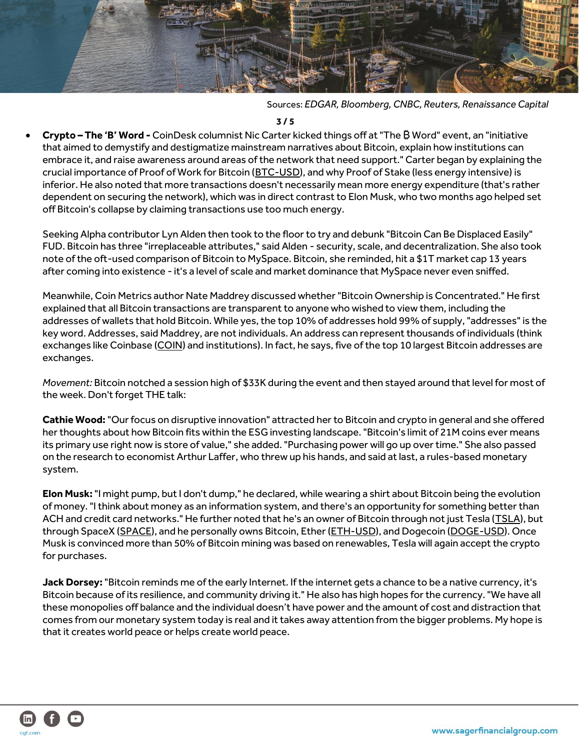

Sources: *EDGAR, Bloomberg, CNBC, Reuters, Renaissance Capital* 

 **3 / 5**

• **Crypto – The 'B' Word -** CoinDesk columnist Nic Carter kicked things off at "The ₿ Word" event, an "initiative that aimed to demystify and destigmatize mainstream narratives about Bitcoin, explain how institutions can embrace it, and raise awareness around areas of the network that need support." Carter began by explaining the crucial importance of Proof of Work for Bitcoin [\(BTC-USD\)](https://seekingalpha.com/symbol/BTC-USD?mailingid=24545147&serial=24545147.1604556&userid=54600502&source=email_wsb&messageid=wall_street_breakfast&utm_source=seeking_alpha&utm_medium=email&utm_campaign=WSB_7_27_21&utm_term=wall_street_breakfast), and why Proof of Stake (less energy intensive) is inferior. He also noted that more transactions doesn't necessarily mean more energy expenditure (that's rather dependent on securing the network), which was in direct contrast to Elon Musk, who two months ago helped set off Bitcoin's collapse by claiming transactions use too much energy.

Seeking Alpha contributor Lyn Alden then took to the floor to try and debunk "Bitcoin Can Be Displaced Easily" FUD. Bitcoin has three "irreplaceable attributes," said Alden - security, scale, and decentralization. She also took note of the oft-used comparison of Bitcoin to MySpace. Bitcoin, she reminded, hit a \$1T market cap 13 years after coming into existence - it's a level of scale and market dominance that MySpace never even sniffed.

Meanwhile, Coin Metrics author Nate Maddrey discussed whether "Bitcoin Ownership is Concentrated." He first explained that all Bitcoin transactions are transparent to anyone who wished to view them, including the addresses of wallets that hold Bitcoin. While yes, the top 10% of addresses hold 99% of supply, "addresses" is the key word. Addresses, said Maddrey, are not individuals. An address can represent thousands of individuals (think exchanges like Coinbase [\(COIN\)](https://seekingalpha.com/symbol/COIN?mailingid=24545147&serial=24545147.1604556&userid=54600502&source=email_wsb&messageid=wall_street_breakfast&utm_source=seeking_alpha&utm_medium=email&utm_campaign=WSB_7_27_21&utm_term=wall_street_breakfast) and institutions). In fact, he says, five of the top 10 largest Bitcoin addresses are exchanges.

*Movement:* Bitcoin notched a session high of \$33K during the event and then stayed around that level for most of the week. Don't forget THE talk:

**Cathie Wood:**"Our focus on disruptive innovation" attracted her to Bitcoin and crypto in general and she offered her thoughts about how Bitcoin fits within the ESG investing landscape. "Bitcoin's limit of 21M coins ever means its primary use right now is store of value," she added. "Purchasing power will go up over time." She also passed on the research to economist Arthur Laffer, who threw up his hands, and said at last, a rules-based monetary system.

**Elon Musk:**"I might pump, but I don't dump," he declared, while wearing a shirt about Bitcoin being the evolution of money. "I think about money as an information system, and there's an opportunity for something better than ACH and credit card networks." He further noted that he's an owner of Bitcoin through not just Tesla [\(TSLA\)](https://seekingalpha.com/symbol/TSLA?mailingid=24545147&serial=24545147.1604556&userid=54600502&source=email_wsb&messageid=wall_street_breakfast&utm_source=seeking_alpha&utm_medium=email&utm_campaign=WSB_7_27_21&utm_term=wall_street_breakfast), but through SpaceX [\(SPACE\)](https://seekingalpha.com/symbol/SPACE?mailingid=24545147&serial=24545147.1604556&userid=54600502&source=email_wsb&messageid=wall_street_breakfast&utm_source=seeking_alpha&utm_medium=email&utm_campaign=WSB_7_27_21&utm_term=wall_street_breakfast), and he personally owns Bitcoin, Ether [\(ETH-USD\)](https://seekingalpha.com/symbol/ETH-USD?mailingid=24545147&serial=24545147.1604556&userid=54600502&source=email_wsb&messageid=wall_street_breakfast&utm_source=seeking_alpha&utm_medium=email&utm_campaign=WSB_7_27_21&utm_term=wall_street_breakfast), and Dogecoin [\(DOGE-USD\)](https://seekingalpha.com/symbol/DOGE-USD?mailingid=24545147&serial=24545147.1604556&userid=54600502&source=email_wsb&messageid=wall_street_breakfast&utm_source=seeking_alpha&utm_medium=email&utm_campaign=WSB_7_27_21&utm_term=wall_street_breakfast). Once Musk is convinced more than 50% of Bitcoin mining was based on renewables, Tesla will again accept the crypto for purchases.

**Jack Dorsey:**"Bitcoin reminds me of the early Internet. If the internet gets a chance to be a native currency, it's Bitcoin because of its resilience, and community driving it." He also has high hopes for the currency. "We have all these monopolies off balance and the individual doesn't have power and the amount of cost and distraction that comes from our monetary system today is real and it takes away attention from the bigger problems. My hope is that it creates world peace or helps create world peace.

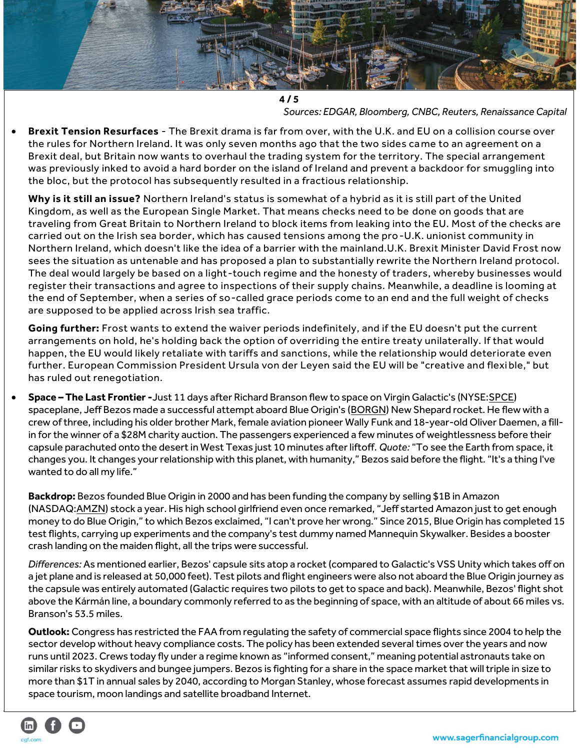

*Sources: EDGAR, Bloomberg, CNBC, Reuters, Renaissance Capital* 

• **Brexit Tension Resurfaces** - The Brexit drama is far from over, with the U.K. and EU on a collision course over the rules for Northern Ireland. It was only seven months ago that the two sides came to an agreement on a Brexit deal, but Britain now wants to overhaul the trading system for the territory. The special arrangement was previously inked to avoid a hard border on the island of Ireland and prevent a backdoor for smuggling into the bloc, but the protocol has subsequently resulted in a fractious relationship.

**Why is it still an issue?** Northern Ireland's status is somewhat of a hybrid as it is still part of the United Kingdom, as well as the European Single Market. That means checks need to be done on goods that are traveling from Great Britain to Northern Ireland to block items from leaking into the EU. Most of the checks are carried out on the Irish sea border, which has caused tensions among the pro-U.K. unionist community in Northern Ireland, which doesn't like the idea of a barrier with the mainland.U.K. Brexit Minister David Frost now sees the situation as untenable and has proposed a plan to substantially rewrite the Northern Ireland protocol. The deal would largely be based on a light-touch regime and the honesty of traders, whereby businesses would register their transactions and agree to inspections of their supply chains. Meanwhile, a deadline is looming at the end of September, when a series of so-called grace periods come to an end and the full weight of checks are supposed to be applied across Irish sea traffic.

**Going further:** Frost wants to extend the waiver periods indefinitely, and if the EU doesn't put the current arrangements on hold, he's holding back the option of overriding the entire treaty unilaterally. If that would happen, the EU would likely retaliate with tariffs and sanctions, while the relationship would deteriorate even further. European Commission President Ursula von der Leyen said the EU will be "creative and flexi ble," but has ruled out renegotiation.

• **Space – The Last Frontier -**Just 11 days after Richard Branson flew to space on Virgin Galactic's (NYSE[:SPCE\)](https://seekingalpha.com/symbol/SPCE?mailingid=24545147&serial=24545147.1604556&userid=54600502&source=email_wsb&messageid=wall_street_breakfast&utm_source=seeking_alpha&utm_medium=email&utm_campaign=WSB_7_27_21&utm_term=wall_street_breakfast) spaceplane, Jeff Bezos made a successful attempt aboard Blue Origin's [\(BORGN\)](https://seekingalpha.com/symbol/BORGN?mailingid=24545147&serial=24545147.1604556&userid=54600502&source=email_wsb&messageid=wall_street_breakfast&utm_source=seeking_alpha&utm_medium=email&utm_campaign=WSB_7_27_21&utm_term=wall_street_breakfast) New Shepard rocket. He flew with a crew of three, including his older brother Mark, female aviation pioneer Wally Funk and 18-year-old Oliver Daemen, a fillin for the winner of a \$28M charity auction. The passengers experienced a few minutes of weightlessness before their capsule parachuted onto the desert in West Texas just 10 minutes after liftoff. *Quote:* "To see the Earth from space, it changes you. It changes your relationship with this planet, with humanity," Bezos said before the flight. "It's a thing I've wanted to do all my life."

**Backdrop:** Bezos founded Blue Origin in 2000 and has been funding the company by selling \$1B in Amazon (NASDAQ[:AMZN](https://seekingalpha.com/symbol/AMZN?mailingid=24545147&serial=24545147.1604556&userid=54600502&source=email_wsb&messageid=wall_street_breakfast&utm_source=seeking_alpha&utm_medium=email&utm_campaign=WSB_7_27_21&utm_term=wall_street_breakfast)) stock a year. His high school girlfriend even once remarked, "Jeff started Amazon just to get enough money to do Blue Origin," to which Bezos exclaimed, "I can't prove her wrong." Since 2015, Blue Origin has completed 15 test flights, carrying up experiments and the company's test dummy named Mannequin Skywalker. Besides a booster crash landing on the maiden flight, all the trips were successful.

*Differences:* As mentioned earlier, Bezos' capsule sits atop a rocket (compared to Galactic's VSS Unity which takes off on a jet plane and is released at 50,000 feet). Test pilots and flight engineers were also not aboard the Blue Origin journey as the capsule was entirely automated (Galactic requires two pilots to get to space and back). Meanwhile, Bezos' flight shot above the Kármán line, a boundary commonly referred to as the beginning of space, with an altitude of about 66 miles vs. Branson's 53.5 miles.

**Outlook:** Congress has restricted the FAA from regulating the safety of commercial space flights since 2004 to help the sector develop without heavy compliance costs. The policy has been extended several times over the years and now runs until 2023. Crews today fly under a regime known as "informed consent," meaning potential astronauts take on similar risks to skydivers and bungee jumpers. Bezos is fighting for a share in the space market that will triple in size to more than \$1T in annual sales by 2040, according to Morgan Stanley, whose forecast assumes rapid developments in space tourism, moon landings and satellite broadband Internet.